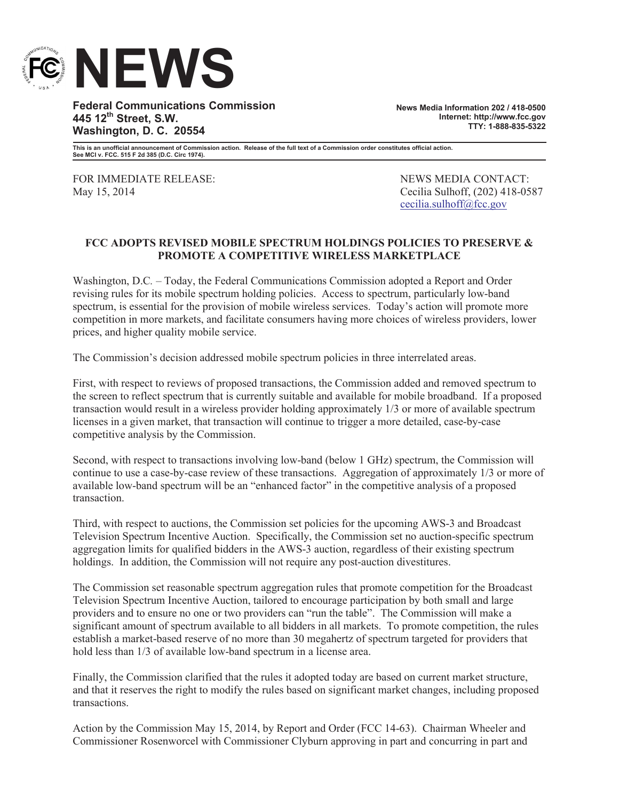

**Federal Communications Commission 445 12th Street, S.W. Washington, D. C. 20554**

**News Media Information 202 / 418-0500 Internet: http://www.fcc.gov TTY: 1-888-835-5322**

**This is an unofficial announcement of Commission action. Release of the full text of a Commission order constitutes official action. See MCI v. FCC. 515 F 2d 385 (D.C. Circ 1974).**

FOR IMMEDIATE RELEASE: NEWS MEDIA CONTACT: May 15, 2014 Cecilia Sulhoff, (202) 418-0587

cecilia.sulhoff@fcc.gov

## **FCC ADOPTS REVISED MOBILE SPECTRUM HOLDINGS POLICIES TO PRESERVE & PROMOTE A COMPETITIVE WIRELESS MARKETPLACE**

Washington, D.C*.* – Today, the Federal Communications Commission adopted a Report and Order revising rules for its mobile spectrum holding policies. Access to spectrum, particularly low-band spectrum, is essential for the provision of mobile wireless services. Today's action will promote more competition in more markets, and facilitate consumers having more choices of wireless providers, lower prices, and higher quality mobile service.

The Commission's decision addressed mobile spectrum policies in three interrelated areas.

First, with respect to reviews of proposed transactions, the Commission added and removed spectrum to the screen to reflect spectrum that is currently suitable and available for mobile broadband. If a proposed transaction would result in a wireless provider holding approximately 1/3 or more of available spectrum licenses in a given market, that transaction will continue to trigger a more detailed, case-by-case competitive analysis by the Commission.

Second, with respect to transactions involving low-band (below 1 GHz) spectrum, the Commission will continue to use a case-by-case review of these transactions. Aggregation of approximately 1/3 or more of available low-band spectrum will be an "enhanced factor" in the competitive analysis of a proposed transaction.

Third, with respect to auctions, the Commission set policies for the upcoming AWS-3 and Broadcast Television Spectrum Incentive Auction. Specifically, the Commission set no auction-specific spectrum aggregation limits for qualified bidders in the AWS-3 auction, regardless of their existing spectrum holdings. In addition, the Commission will not require any post-auction divestitures.

The Commission set reasonable spectrum aggregation rules that promote competition for the Broadcast Television Spectrum Incentive Auction, tailored to encourage participation by both small and large providers and to ensure no one or two providers can "run the table". The Commission will make a significant amount of spectrum available to all bidders in all markets. To promote competition, the rules establish a market-based reserve of no more than 30 megahertz of spectrum targeted for providers that hold less than  $1/3$  of available low-band spectrum in a license area.

Finally, the Commission clarified that the rules it adopted today are based on current market structure, and that it reserves the right to modify the rules based on significant market changes, including proposed transactions.

Action by the Commission May 15, 2014, by Report and Order (FCC 14-63). Chairman Wheeler and Commissioner Rosenworcel with Commissioner Clyburn approving in part and concurring in part and